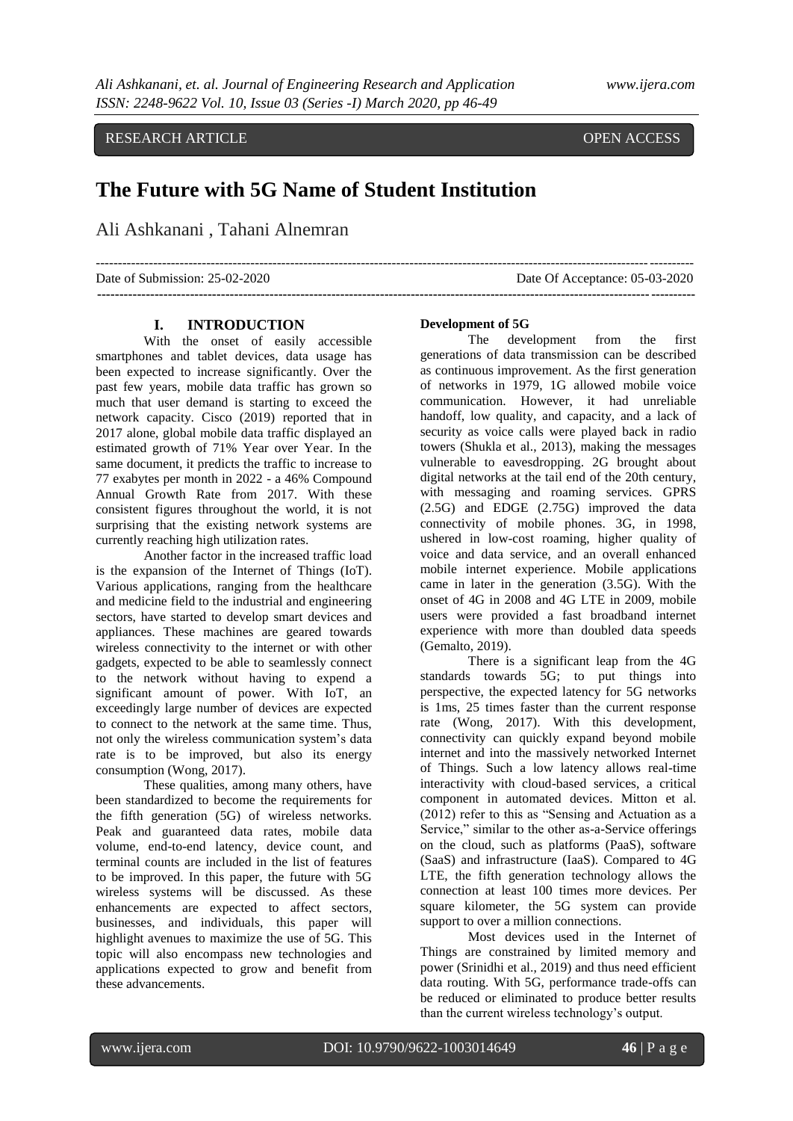RESEARCH ARTICLE **CONSERVERS** OPEN ACCESS

# **The Future with 5G Name of Student Institution**

Ali Ashkanani , Tahani Alnemran

--------------------------------------------------------------------------------------------------------------------------------------- Date of Submission: 25-02-2020 Date Of Acceptance: 05-03-2020

**Development of 5G**

**---------------------------------------------------------------------------------------------------------------------------------------**

The development from the first generations of data transmission can be described as continuous improvement. As the first generation of networks in 1979, 1G allowed mobile voice communication. However, it had unreliable handoff, low quality, and capacity, and a lack of security as voice calls were played back in radio towers (Shukla et al., 2013), making the messages vulnerable to eavesdropping. 2G brought about digital networks at the tail end of the 20th century, with messaging and roaming services. GPRS (2.5G) and EDGE (2.75G) improved the data connectivity of mobile phones. 3G, in 1998, ushered in low-cost roaming, higher quality of voice and data service, and an overall enhanced mobile internet experience. Mobile applications came in later in the generation (3.5G). With the onset of 4G in 2008 and 4G LTE in 2009, mobile users were provided a fast broadband internet experience with more than doubled data speeds (Gemalto, 2019).

There is a significant leap from the 4G standards towards 5G; to put things into perspective, the expected latency for 5G networks is 1ms, 25 times faster than the current response rate (Wong, 2017). With this development, connectivity can quickly expand beyond mobile internet and into the massively networked Internet of Things. Such a low latency allows real-time interactivity with cloud-based services, a critical component in automated devices. Mitton et al.  $(2012)$  refer to this as "Sensing and Actuation as a Service," similar to the other as-a-Service offerings on the cloud, such as platforms (PaaS), software (SaaS) and infrastructure (IaaS). Compared to 4G LTE, the fifth generation technology allows the connection at least 100 times more devices. Per square kilometer, the 5G system can provide support to over a million connections.

Most devices used in the Internet of Things are constrained by limited memory and power (Srinidhi et al., 2019) and thus need efficient data routing. With 5G, performance trade-offs can be reduced or eliminated to produce better results than the current wireless technology's output.

## **I. INTRODUCTION**

With the onset of easily accessible smartphones and tablet devices, data usage has been expected to increase significantly. Over the past few years, mobile data traffic has grown so much that user demand is starting to exceed the network capacity. Cisco (2019) reported that in 2017 alone, global mobile data traffic displayed an estimated growth of 71% Year over Year. In the same document, it predicts the traffic to increase to 77 exabytes per month in 2022 - a 46% Compound Annual Growth Rate from 2017. With these consistent figures throughout the world, it is not surprising that the existing network systems are currently reaching high utilization rates.

Another factor in the increased traffic load is the expansion of the Internet of Things (IoT). Various applications, ranging from the healthcare and medicine field to the industrial and engineering sectors, have started to develop smart devices and appliances. These machines are geared towards wireless connectivity to the internet or with other gadgets, expected to be able to seamlessly connect to the network without having to expend a significant amount of power. With IoT, an exceedingly large number of devices are expected to connect to the network at the same time. Thus, not only the wireless communication system's data rate is to be improved, but also its energy consumption (Wong, 2017).

These qualities, among many others, have been standardized to become the requirements for the fifth generation (5G) of wireless networks. Peak and guaranteed data rates, mobile data volume, end-to-end latency, device count, and terminal counts are included in the list of features to be improved. In this paper, the future with 5G wireless systems will be discussed. As these enhancements are expected to affect sectors, businesses, and individuals, this paper will highlight avenues to maximize the use of 5G. This topic will also encompass new technologies and applications expected to grow and benefit from these advancements.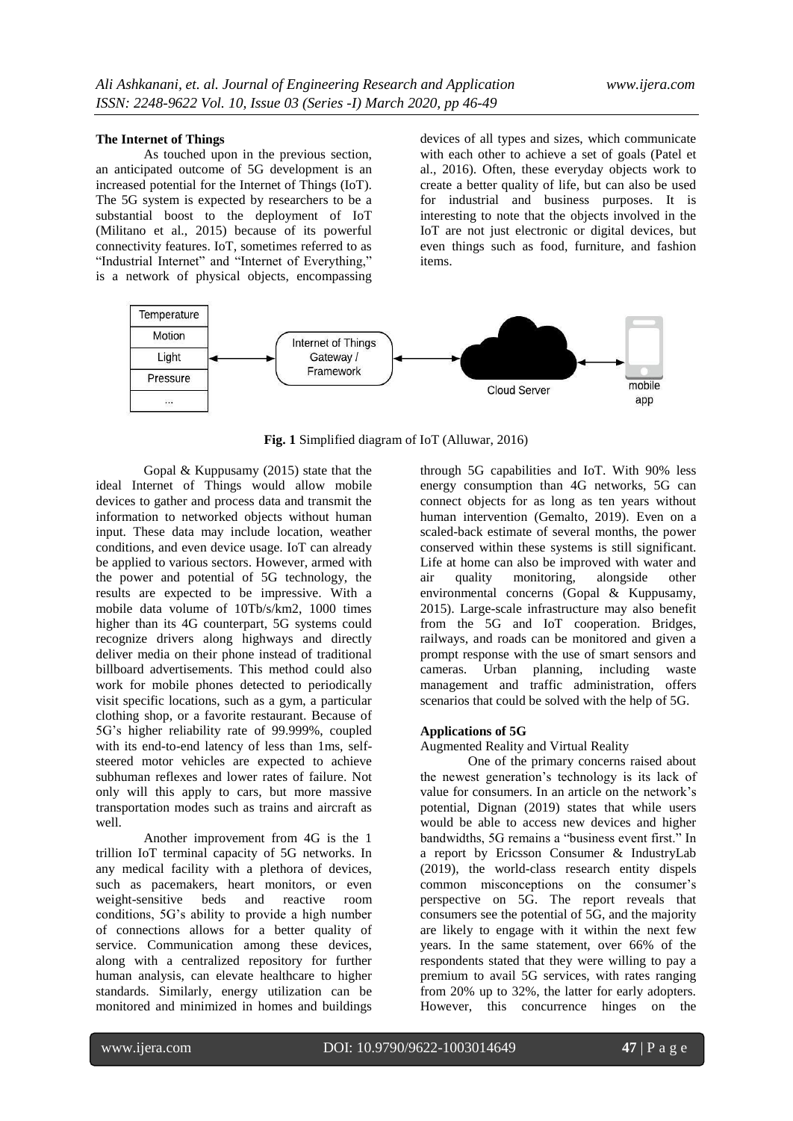### **The Internet of Things**

As touched upon in the previous section, an anticipated outcome of 5G development is an increased potential for the Internet of Things (IoT). The 5G system is expected by researchers to be a substantial boost to the deployment of IoT (Militano et al., 2015) because of its powerful connectivity features. IoT, sometimes referred to as "Industrial Internet" and "Internet of Everything," is a network of physical objects, encompassing

devices of all types and sizes, which communicate with each other to achieve a set of goals (Patel et al., 2016). Often, these everyday objects work to create a better quality of life, but can also be used for industrial and business purposes. It is interesting to note that the objects involved in the IoT are not just electronic or digital devices, but even things such as food, furniture, and fashion items.



**Fig. 1** Simplified diagram of IoT (Alluwar, 2016)

Gopal & Kuppusamy (2015) state that the ideal Internet of Things would allow mobile devices to gather and process data and transmit the information to networked objects without human input. These data may include location, weather conditions, and even device usage. IoT can already be applied to various sectors. However, armed with the power and potential of 5G technology, the results are expected to be impressive. With a mobile data volume of 10Tb/s/km2, 1000 times higher than its 4G counterpart, 5G systems could recognize drivers along highways and directly deliver media on their phone instead of traditional billboard advertisements. This method could also work for mobile phones detected to periodically visit specific locations, such as a gym, a particular clothing shop, or a favorite restaurant. Because of 5G's higher reliability rate of 99.999%, coupled with its end-to-end latency of less than 1ms, selfsteered motor vehicles are expected to achieve subhuman reflexes and lower rates of failure. Not only will this apply to cars, but more massive transportation modes such as trains and aircraft as well.

Another improvement from 4G is the 1 trillion IoT terminal capacity of 5G networks. In any medical facility with a plethora of devices, such as pacemakers, heart monitors, or even weight-sensitive beds and reactive room conditions, 5G's ability to provide a high number of connections allows for a better quality of service. Communication among these devices, along with a centralized repository for further human analysis, can elevate healthcare to higher standards. Similarly, energy utilization can be monitored and minimized in homes and buildings

through 5G capabilities and IoT. With 90% less energy consumption than 4G networks, 5G can connect objects for as long as ten years without human intervention (Gemalto, 2019). Even on a scaled-back estimate of several months, the power conserved within these systems is still significant. Life at home can also be improved with water and air quality monitoring, alongside other environmental concerns (Gopal & Kuppusamy, 2015). Large-scale infrastructure may also benefit from the 5G and IoT cooperation. Bridges, railways, and roads can be monitored and given a prompt response with the use of smart sensors and cameras. Urban planning, including waste management and traffic administration, offers scenarios that could be solved with the help of 5G.

#### **Applications of 5G**

Augmented Reality and Virtual Reality

One of the primary concerns raised about the newest generation's technology is its lack of value for consumers. In an article on the network's potential, Dignan (2019) states that while users would be able to access new devices and higher bandwidths, 5G remains a "business event first." In a report by Ericsson Consumer & IndustryLab (2019), the world-class research entity dispels common misconceptions on the consumer's perspective on 5G. The report reveals that consumers see the potential of 5G, and the majority are likely to engage with it within the next few years. In the same statement, over 66% of the respondents stated that they were willing to pay a premium to avail 5G services, with rates ranging from 20% up to 32%, the latter for early adopters. However, this concurrence hinges on the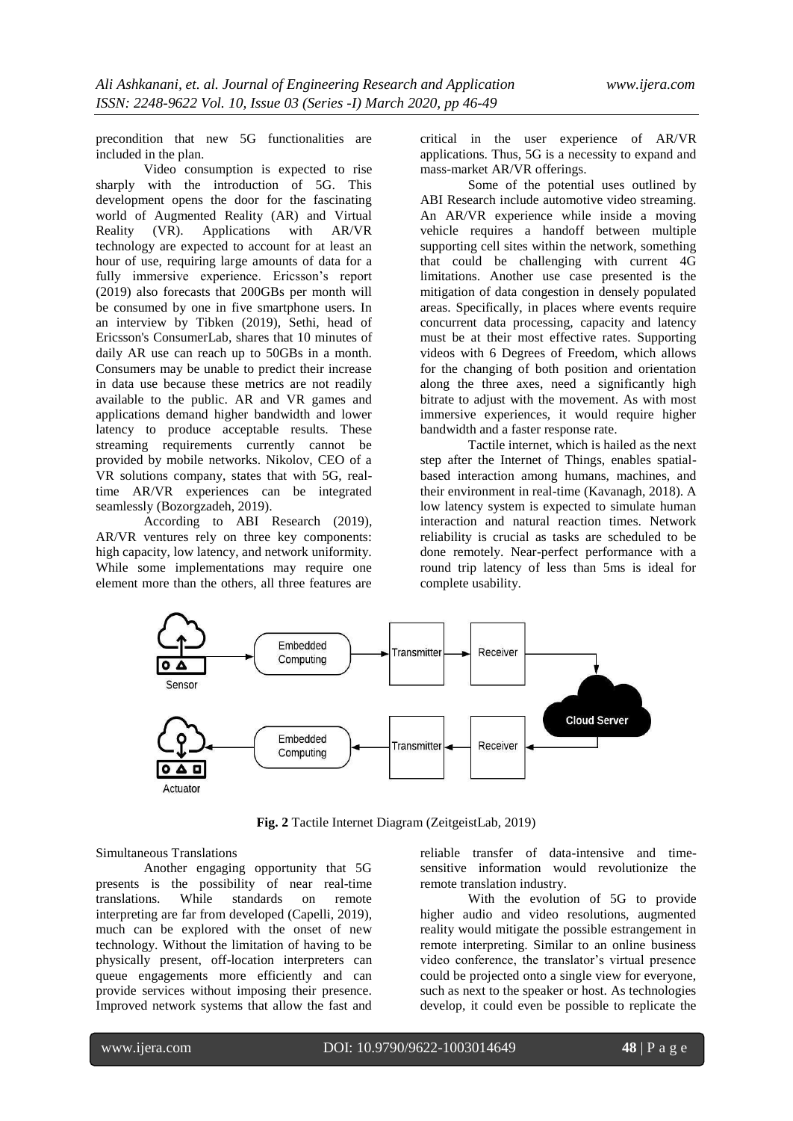precondition that new 5G functionalities are included in the plan.

Video consumption is expected to rise sharply with the introduction of 5G. This development opens the door for the fascinating world of Augmented Reality (AR) and Virtual Reality (VR). Applications with AR/VR technology are expected to account for at least an hour of use, requiring large amounts of data for a fully immersive experience. Ericsson's report (2019) also forecasts that 200GBs per month will be consumed by one in five smartphone users. In an interview by Tibken (2019), Sethi, head of Ericsson's ConsumerLab, shares that 10 minutes of daily AR use can reach up to 50GBs in a month. Consumers may be unable to predict their increase in data use because these metrics are not readily available to the public. AR and VR games and applications demand higher bandwidth and lower latency to produce acceptable results. These streaming requirements currently cannot be provided by mobile networks. Nikolov, CEO of a VR solutions company, states that with 5G, realtime AR/VR experiences can be integrated seamlessly (Bozorgzadeh, 2019).

According to ABI Research (2019), AR/VR ventures rely on three key components: high capacity, low latency, and network uniformity. While some implementations may require one element more than the others, all three features are critical in the user experience of AR/VR applications. Thus, 5G is a necessity to expand and mass-market AR/VR offerings.

Some of the potential uses outlined by ABI Research include automotive video streaming. An AR/VR experience while inside a moving vehicle requires a handoff between multiple supporting cell sites within the network, something that could be challenging with current 4G limitations. Another use case presented is the mitigation of data congestion in densely populated areas. Specifically, in places where events require concurrent data processing, capacity and latency must be at their most effective rates. Supporting videos with 6 Degrees of Freedom, which allows for the changing of both position and orientation along the three axes, need a significantly high bitrate to adjust with the movement. As with most immersive experiences, it would require higher bandwidth and a faster response rate.

Tactile internet, which is hailed as the next step after the Internet of Things, enables spatialbased interaction among humans, machines, and their environment in real-time (Kavanagh, 2018). A low latency system is expected to simulate human interaction and natural reaction times. Network reliability is crucial as tasks are scheduled to be done remotely. Near-perfect performance with a round trip latency of less than 5ms is ideal for complete usability.



**Fig. 2** Tactile Internet Diagram (ZeitgeistLab, 2019)

#### Simultaneous Translations

Another engaging opportunity that 5G presents is the possibility of near real-time translations. While standards on remote translations. While standards on remote interpreting are far from developed (Capelli, 2019), much can be explored with the onset of new technology. Without the limitation of having to be physically present, off-location interpreters can queue engagements more efficiently and can provide services without imposing their presence. Improved network systems that allow the fast and

reliable transfer of data-intensive and timesensitive information would revolutionize the remote translation industry.

With the evolution of 5G to provide higher audio and video resolutions, augmented reality would mitigate the possible estrangement in remote interpreting. Similar to an online business video conference, the translator's virtual presence could be projected onto a single view for everyone, such as next to the speaker or host. As technologies develop, it could even be possible to replicate the